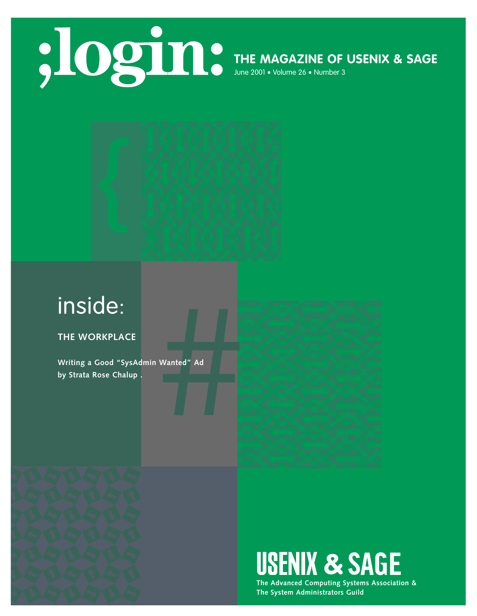

**THE MAGAZINE OF USENIX & SAGE**

June 2001 • Volume 26 • Number 3



# inside:

**THE WORKPLACE**

Wanted" Ad **Writing a Good "SysAdmin Wanted" Ad by Strata Rose Chalup .**





**The Advanced Computing Systems Association & The System Administrators Guild**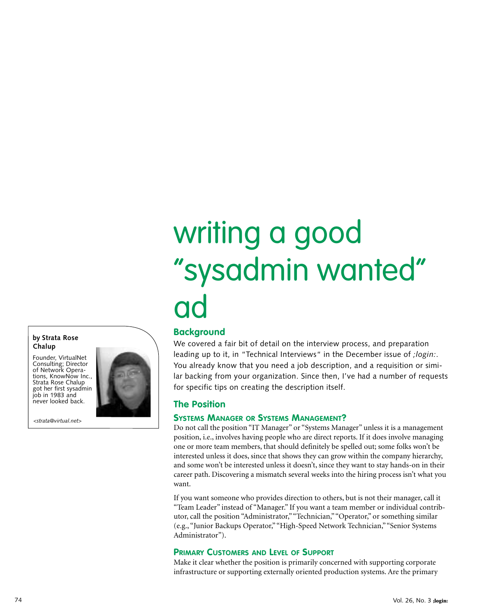# writing a good "sysadmin wanted" ad

# **Background**

We covered a fair bit of detail on the interview process, and preparation leading up to it, in "Technical Interviews" in the December issue of *;login:*. You already know that you need a job description, and a requisition or similar backing from your organization. Since then, I've had a number of requests for specific tips on creating the description itself.

### **The Position**

#### **SYSTEMS MANAGER OR SYSTEMS MANAGEMENT?**

Do not call the position "IT Manager" or "Systems Manager" unless it is a management position, i.e., involves having people who are direct reports. If it does involve managing one or more team members, that should definitely be spelled out; some folks won't be interested unless it does, since that shows they can grow within the company hierarchy, and some won't be interested unless it doesn't, since they want to stay hands-on in their career path. Discovering a mismatch several weeks into the hiring process isn't what you want.

If you want someone who provides direction to others, but is not their manager, call it "Team Leader" instead of "Manager." If you want a team member or individual contributor, call the position "Administrator,""Technician,""Operator," or something similar (e.g., "Junior Backups Operator,""High-Speed Network Technician,""Senior Systems Administrator").

#### **PRIMARY CUSTOMERS AND LEVEL OF SUPPORT**

Make it clear whether the position is primarily concerned with supporting corporate infrastructure or supporting externally oriented production systems. Are the primary

**by Strata Rose Chalup**

Founder, VirtualNet Consulting; Director of Network Operations, KnowNow Inc., Strata Rose Chalup got her first sysadmin job in 1983 and never looked back.

*<strata@virtual.net>*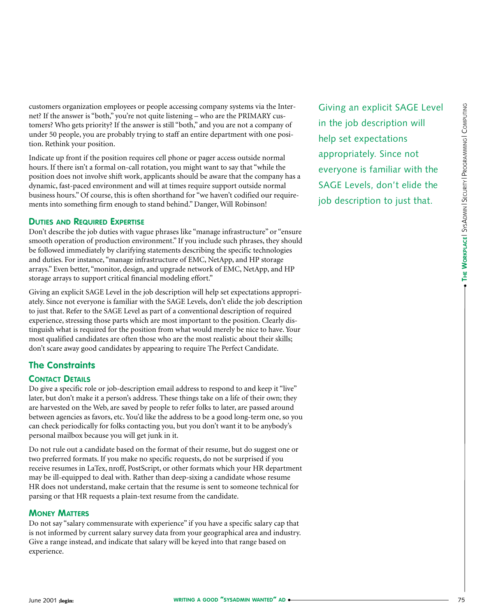customers organization employees or people accessing company systems via the Internet? If the answer is "both," you're not quite listening – who are the PRIMARY customers? Who gets priority? If the answer is still "both," and you are not a company of under 50 people, you are probably trying to staff an entire department with one position. Rethink your position.

Indicate up front if the position requires cell phone or pager access outside normal hours. If there isn't a formal on-call rotation, you might want to say that "while the position does not involve shift work, applicants should be aware that the company has a dynamic, fast-paced environment and will at times require support outside normal business hours." Of course, this is often shorthand for "we haven't codified our requirements into something firm enough to stand behind." Danger, Will Robinson!

#### **DUTIES AND REQUIRED EXPERTISE**

Don't describe the job duties with vague phrases like "manage infrastructure" or "ensure smooth operation of production environment." If you include such phrases, they should be followed immediately by clarifying statements describing the specific technologies and duties. For instance, "manage infrastructure of EMC, NetApp, and HP storage arrays." Even better, "monitor, design, and upgrade network of EMC, NetApp, and HP storage arrays to support critical financial modeling effort."

Giving an explicit SAGE Level in the job description will help set expectations appropriately. Since not everyone is familiar with the SAGE Levels, don't elide the job description to just that. Refer to the SAGE Level as part of a conventional description of required experience, stressing those parts which are most important to the position. Clearly distinguish what is required for the position from what would merely be nice to have. Your most qualified candidates are often those who are the most realistic about their skills; don't scare away good candidates by appearing to require The Perfect Candidate.

# **The Constraints**

#### **CONTACT DETAILS**

Do give a specific role or job-description email address to respond to and keep it "live" later, but don't make it a person's address. These things take on a life of their own; they are harvested on the Web, are saved by people to refer folks to later, are passed around between agencies as favors, etc. You'd like the address to be a good long-term one, so you can check periodically for folks contacting you, but you don't want it to be anybody's personal mailbox because you will get junk in it.

Do not rule out a candidate based on the format of their resume, but do suggest one or two preferred formats. If you make no specific requests, do not be surprised if you receive resumes in LaTex, nroff, PostScript, or other formats which your HR department may be ill-equipped to deal with. Rather than deep-sixing a candidate whose resume HR does not understand, make certain that the resume is sent to someone technical for parsing or that HR requests a plain-text resume from the candidate.

#### **MONEY MATTERS**

Do not say "salary commensurate with experience" if you have a specific salary cap that is not informed by current salary survey data from your geographical area and industry. Give a range instead, and indicate that salary will be keyed into that range based on experience.

Giving an explicit SAGE Level in the job description will help set expectations appropriately. Since not everyone is familiar with the SAGE Levels, don't elide the job description to just that.

●